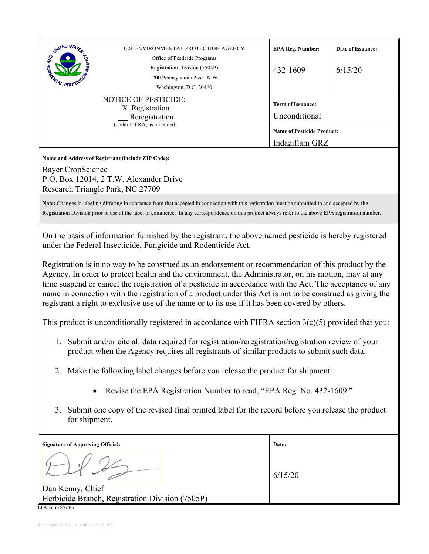| <b>STATED STATES</b><br>U.S. ENVIRONMENTAL PROTECTION AGENCY<br>Office of Pesticide Programs<br>Registration Division (7505P)<br>1200 Pennsylvania Ave., N.W.<br>L PROT<br>Washington, D.C. 20460                                                                                                                                                                                                                                                                                                                                                                                                                                                                                                                                                                                                                                                                                                                                                                                                                                                                                                                                                                                                                                                                                                                                                                                                                                                                                    | <b>EPA Reg. Number:</b><br>432-1609       | Date of Issuance:<br>6/15/20      |  |
|--------------------------------------------------------------------------------------------------------------------------------------------------------------------------------------------------------------------------------------------------------------------------------------------------------------------------------------------------------------------------------------------------------------------------------------------------------------------------------------------------------------------------------------------------------------------------------------------------------------------------------------------------------------------------------------------------------------------------------------------------------------------------------------------------------------------------------------------------------------------------------------------------------------------------------------------------------------------------------------------------------------------------------------------------------------------------------------------------------------------------------------------------------------------------------------------------------------------------------------------------------------------------------------------------------------------------------------------------------------------------------------------------------------------------------------------------------------------------------------|-------------------------------------------|-----------------------------------|--|
| <b>NOTICE OF PESTICIDE:</b><br>X Registration<br>Reregistration                                                                                                                                                                                                                                                                                                                                                                                                                                                                                                                                                                                                                                                                                                                                                                                                                                                                                                                                                                                                                                                                                                                                                                                                                                                                                                                                                                                                                      | <b>Term of Issuance:</b><br>Unconditional |                                   |  |
| (under FIFRA, as amended)                                                                                                                                                                                                                                                                                                                                                                                                                                                                                                                                                                                                                                                                                                                                                                                                                                                                                                                                                                                                                                                                                                                                                                                                                                                                                                                                                                                                                                                            | Indaziflam GRZ                            | <b>Name of Pesticide Product:</b> |  |
| Name and Address of Registrant (include ZIP Code):<br>Bayer CropScience<br>P.O. Box 12014, 2 T.W. Alexander Drive<br>Research Triangle Park, NC 27709<br>Note: Changes in labeling differing in substance from that accepted in connection with this registration must be submitted to and accepted by the                                                                                                                                                                                                                                                                                                                                                                                                                                                                                                                                                                                                                                                                                                                                                                                                                                                                                                                                                                                                                                                                                                                                                                           |                                           |                                   |  |
| Registration Division prior to use of the label in commerce. In any correspondence on this product always refer to the above EPA registration number.<br>On the basis of information furnished by the registrant, the above named pesticide is hereby registered<br>under the Federal Insecticide, Fungicide and Rodenticide Act.<br>Registration is in no way to be construed as an endorsement or recommendation of this product by the<br>Agency. In order to protect health and the environment, the Administrator, on his motion, may at any<br>time suspend or cancel the registration of a pesticide in accordance with the Act. The acceptance of any<br>name in connection with the registration of a product under this Act is not to be construed as giving the<br>registrant a right to exclusive use of the name or to its use if it has been covered by others.<br>This product is unconditionally registered in accordance with FIFRA section $3(c)(5)$ provided that you:<br>1. Submit and/or cite all data required for registration/reregistration/registration review of your<br>product when the Agency requires all registrants of similar products to submit such data.<br>2. Make the following label changes before you release the product for shipment:<br>Revise the EPA Registration Number to read, "EPA Reg. No. 432-1609."<br>Submit one copy of the revised final printed label for the record before you release the product<br>3.<br>for shipment. |                                           |                                   |  |
| <b>Signature of Approving Official:</b><br>Dan Kenny, Chief<br>Herbicide Branch, Registration Division (7505P)                                                                                                                                                                                                                                                                                                                                                                                                                                                                                                                                                                                                                                                                                                                                                                                                                                                                                                                                                                                                                                                                                                                                                                                                                                                                                                                                                                       | Date:<br>6/15/20                          |                                   |  |
| EPA Form 8570-6                                                                                                                                                                                                                                                                                                                                                                                                                                                                                                                                                                                                                                                                                                                                                                                                                                                                                                                                                                                                                                                                                                                                                                                                                                                                                                                                                                                                                                                                      |                                           |                                   |  |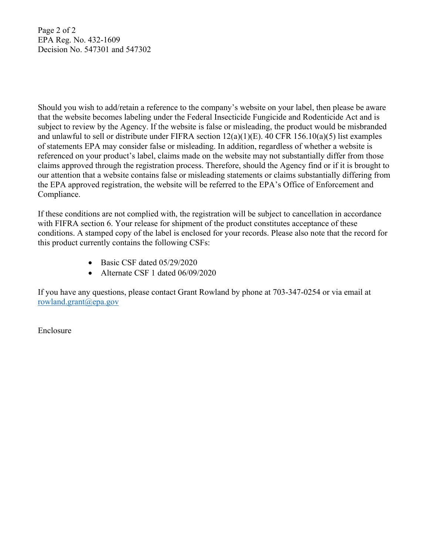Page 2 of 2 EPA Reg. No. 432-1609 Decision No. 547301 and 547302

Should you wish to add/retain a reference to the company's website on your label, then please be aware that the website becomes labeling under the Federal Insecticide Fungicide and Rodenticide Act and is subject to review by the Agency. If the website is false or misleading, the product would be misbranded and unlawful to sell or distribute under FIFRA section 12(a)(1)(E). 40 CFR 156.10(a)(5) list examples of statements EPA may consider false or misleading. In addition, regardless of whether a website is referenced on your product's label, claims made on the website may not substantially differ from those claims approved through the registration process. Therefore, should the Agency find or if it is brought to our attention that a website contains false or misleading statements or claims substantially differing from the EPA approved registration, the website will be referred to the EPA's Office of Enforcement and Compliance.

If these conditions are not complied with, the registration will be subject to cancellation in accordance with FIFRA section 6. Your release for shipment of the product constitutes acceptance of these conditions. A stamped copy of the label is enclosed for your records. Please also note that the record for this product currently contains the following CSFs:

- $\bullet$  Basic CSF dated 05/29/2020
- Alternate CSF 1 dated 06/09/2020

If you have any questions, please contact Grant Rowland by phone at 703-347-0254 or via email at rowland.grant@epa.gov

Enclosure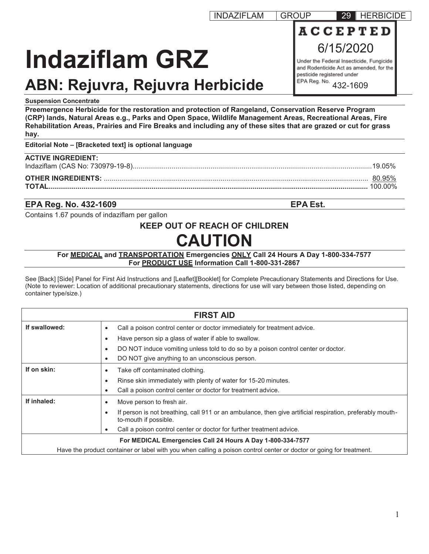# **Indaziflam GRZ**

## **ABN: Rejuvra, Rejuvra Herbicide**

## **Suspension Concentrate**

**Preemergence Herbicide for the restoration and protection of Rangeland, Conservation Reserve Program (CRP) lands, Natural Areas e.g., Parks and Open Space, Wildlife Management Areas, Recreational Areas, Fire Rehabilitation Areas, Prairies and Fire Breaks and including any of these sites that are grazed or cut for grass hay.** 

## **Editorial Note – [Bracketed text] is optional language**

| <b>ACTIVE INGREDIENT:</b> |               |
|---------------------------|---------------|
|                           | <u>80.95%</u> |

## **EPA Reg. No. 432-1609 EPA Est.**

Contains 1.67 pounds of indaziflam per gallon

## **KEEP OUT OF REACH OF CHILDREN**

## **CAUTION**

#### **For MEDICAL and TRANSPORTATION Emergencies ONLY Call 24 Hours A Day 1-800-334-7577 For PRODUCT USE Information Call 1-800-331-2867**

See [Back] [Side] Panel for First Aid Instructions and [Leaflet][Booklet] for Complete Precautionary Statements and Directions for Use. (Note to reviewer: Location of additional precautionary statements, directions for use will vary between those listed, depending on container type/size.)

| <b>FIRST AID</b>                                                                                                    |                                                                                                                                                 |  |
|---------------------------------------------------------------------------------------------------------------------|-------------------------------------------------------------------------------------------------------------------------------------------------|--|
| If swallowed:                                                                                                       | Call a poison control center or doctor immediately for treatment advice.<br>$\bullet$                                                           |  |
|                                                                                                                     | Have person sip a glass of water if able to swallow.<br>$\bullet$                                                                               |  |
|                                                                                                                     | DO NOT induce vomiting unless told to do so by a poison control center or doctor.<br>$\bullet$                                                  |  |
|                                                                                                                     | DO NOT give anything to an unconscious person.<br>$\bullet$                                                                                     |  |
| If on skin:                                                                                                         | Take off contaminated clothing.<br>$\bullet$                                                                                                    |  |
|                                                                                                                     | Rinse skin immediately with plenty of water for 15-20 minutes.<br>$\bullet$                                                                     |  |
|                                                                                                                     | Call a poison control center or doctor for treatment advice.<br>$\bullet$                                                                       |  |
| If inhaled:                                                                                                         | Move person to fresh air.<br>$\bullet$                                                                                                          |  |
|                                                                                                                     | If person is not breathing, call 911 or an ambulance, then give artificial respiration, preferably mouth-<br>$\bullet$<br>to-mouth if possible. |  |
|                                                                                                                     | Call a poison control center or doctor for further treatment advice.<br>$\bullet$                                                               |  |
| For MEDICAL Emergencies Call 24 Hours A Day 1-800-334-7577                                                          |                                                                                                                                                 |  |
| Have the product container or label with you when calling a poison control center or doctor or going for treatment. |                                                                                                                                                 |  |

INDAZIFLAM GROUP 29 HERBICIDE **ACCEPTED** 6/15/2020

> Under the Federal Insecticide, Fungicide and Rodenticide Act as amended, for the pesticide registered under

EPA Reg. No. 432-1609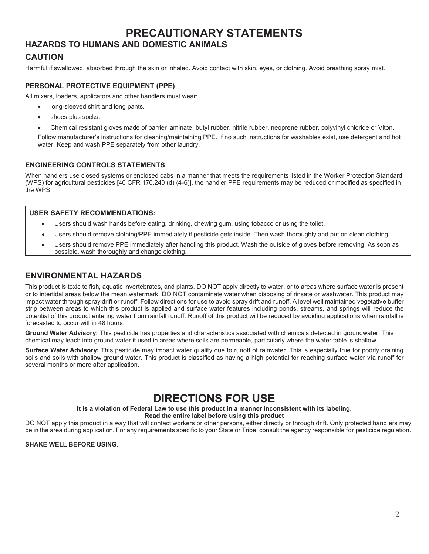## **PRECAUTIONARY STATEMENTS**

## **HAZARDS TO HUMANS AND DOMESTIC ANIMALS**

## **CAUTION**

Harmful if swallowed, absorbed through the skin or inhaled. Avoid contact with skin, eyes, or clothing. Avoid breathing spray mist.

#### **PERSONAL PROTECTIVE EQUIPMENT (PPE)**

All mixers, loaders, applicators and other handlers must wear:

- long-sleeved shirt and long pants.
- shoes plus socks.
- x Chemical resistant gloves made of barrier laminate, butyl rubber. nitrile rubber. neoprene rubber, polyvinyl chloride or Viton.

Follow manufacturer's instructions for cleaning/maintaining PPE. If no such instructions for washables exist, use detergent and hot water. Keep and wash PPE separately from other laundry.

#### **ENGINEERING CONTROLS STATEMENTS**

When handlers use closed systems or enclosed cabs in a manner that meets the requirements listed in the Worker Protection Standard (WPS) for agricultural pesticides [40 CFR 170.240 (d) (4-6)], the handler PPE requirements may be reduced or modified as specified in the WPS.

#### **USER SAFETY RECOMMENDATIONS:**

- Users should wash hands before eating, drinking, chewing gum, using tobacco or using the toilet.
- Users should remove clothing/PPE immediately if pesticide gets inside. Then wash thoroughly and put on clean clothing.
- Users should remove PPE immediately after handling this product. Wash the outside of gloves before removing. As soon as possible, wash thoroughly and change clothing.

## **ENVIRONMENTAL HAZARDS**

This product is toxic to fish, aquatic invertebrates, and plants. DO NOT apply directly to water, or to areas where surface water is present or to intertidal areas below the mean watermark. DO NOT contaminate water when disposing of rinsate or washwater. This product may impact water through spray drift or runoff. Follow directions for use to avoid spray drift and runoff. A level well maintained vegetative buffer strip between areas to which this product is applied and surface water features including ponds, streams, and springs will reduce the potential of this product entering water from rainfall runoff. Runoff of this product will be reduced by avoiding applications when rainfall is forecasted to occur within 48 hours.

**Ground Water Advisory:** This pesticide has properties and characteristics associated with chemicals detected in groundwater. This chemical may leach into ground water if used in areas where soils are permeable, particularly where the water table is shallow.

**Surface Water Advisory:** This pesticide may impact water quality due to runoff of rainwater. This is especially true for poorly draining soils and soils with shallow ground water. This product is classified as having a high potential for reaching surface water via runoff for several months or more after application.

## **DIRECTIONS FOR USE**

#### **It is a violation of Federal Law to use this product in a manner inconsistent with its labeling. Read the entire label before using this product**

DO NOT apply this product in a way that will contact workers or other persons, either directly or through drift. Only protected handlers may be in the area during application. For any requirements specific to your State or Tribe, consult the agency responsible for pesticide regulation.

#### **SHAKE WELL BEFORE USING**.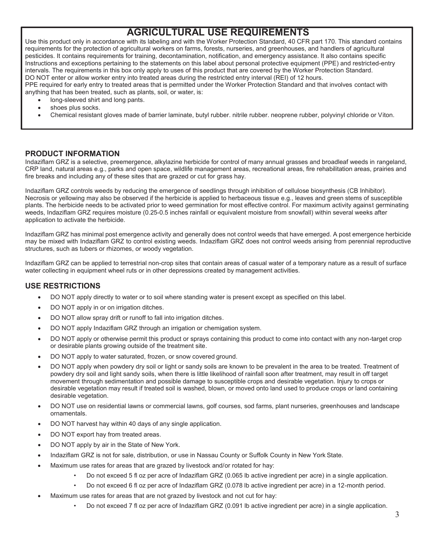## **AGRICULTURAL USE REQUIREMENTS**

Use this product only in accordance with its labeling and with the Worker Protection Standard, 40 CFR part 170. This standard contains requirements for the protection of agricultural workers on farms, forests, nurseries, and greenhouses, and handlers of agricultural pesticides. It contains requirements for training, decontamination, notification, and emergency assistance. It also contains specific Instructions and exceptions pertaining to the statements on this label about personal protective equipment (PPE) and restricted-entry intervals. The requirements in this box only apply to uses of this product that are covered by the Worker Protection Standard. DO NOT enter or allow worker entry into treated areas during the restricted entry interval (REI) of 12 hours. PPE required for early entry to treated areas that is permitted under the Worker Protection Standard and that involves contact with

anything that has been treated, such as plants, soil, or water, is:

- long-sleeved shirt and long pants.
- shoes plus socks.
- x Chemical resistant gloves made of barrier laminate, butyl rubber. nitrile rubber. neoprene rubber, polyvinyl chloride or Viton.

#### **PRODUCT INFORMATION**

Indaziflam GRZ is a selective, preemergence, alkylazine herbicide for control of many annual grasses and broadleaf weeds in rangeland, CRP land, natural areas e.g., parks and open space, wildlife management areas, recreational areas, fire rehabilitation areas, prairies and fire breaks and including any of these sites that are grazed or cut for grass hay.

Indaziflam GRZ controls weeds by reducing the emergence of seedlings through inhibition of cellulose biosynthesis (CB Inhibitor). Necrosis or yellowing may also be observed if the herbicide is applied to herbaceous tissue e.g., leaves and green stems of susceptible plants. The herbicide needs to be activated prior to weed germination for most effective control. For maximum activity against germinating weeds, Indaziflam GRZ requires moisture (0.25-0.5 inches rainfall or equivalent moisture from snowfall) within several weeks after application to activate the herbicide.

Indaziflam GRZ has minimal post emergence activity and generally does not control weeds that have emerged. A post emergence herbicide may be mixed with Indaziflam GRZ to control existing weeds. Indaziflam GRZ does not control weeds arising from perennial reproductive structures, such as tubers or rhizomes, or woody vegetation.

Indaziflam GRZ can be applied to terrestrial non-crop sites that contain areas of casual water of a temporary nature as a result of surface water collecting in equipment wheel ruts or in other depressions created by management activities.

#### **USE RESTRICTIONS**

- DO NOT apply directly to water or to soil where standing water is present except as specified on this label.
- DO NOT apply in or on irrigation ditches.
- DO NOT allow spray drift or runoff to fall into irrigation ditches.
- DO NOT apply Indaziflam GRZ through an irrigation or chemigation system.
- DO NOT apply or otherwise permit this product or sprays containing this product to come into contact with any non-target crop or desirable plants growing outside of the treatment site.
- DO NOT apply to water saturated, frozen, or snow covered ground.
- DO NOT apply when powdery dry soil or light or sandy soils are known to be prevalent in the area to be treated. Treatment of powdery dry soil and light sandy soils, when there is little likelihood of rainfall soon after treatment, may result in off target movement through sedimentation and possible damage to susceptible crops and desirable vegetation. Injury to crops or desirable vegetation may result if treated soil is washed, blown, or moved onto land used to produce crops or land containing desirable vegetation.
- DO NOT use on residential lawns or commercial lawns, golf courses, sod farms, plant nurseries, greenhouses and landscape ornamentals.
- DO NOT harvest hay within 40 days of any single application.
- DO NOT export hay from treated areas.
- DO NOT apply by air in the State of New York.
- Indaziflam GRZ is not for sale, distribution, or use in Nassau County or Suffolk County in New York State.
- Maximum use rates for areas that are grazed by livestock and/or rotated for hay:
	- Do not exceed 5 fl oz per acre of Indaziflam GRZ (0.065 lb active ingredient per acre) in a single application.
	- Do not exceed 6 fl oz per acre of Indaziflam GRZ (0.078 lb active ingredient per acre) in a 12-month period.
- Maximum use rates for areas that are not grazed by livestock and not cut for hay:
	- Do not exceed 7 fl oz per acre of Indaziflam GRZ (0.091 lb active ingredient per acre) in a single application.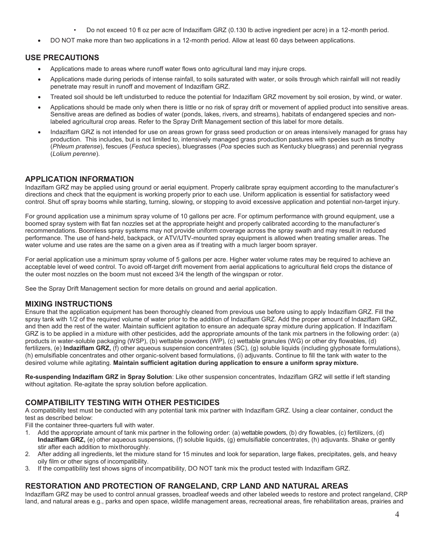• Do not exceed 10 fl oz per acre of Indaziflam GRZ (0.130 lb active ingredient per acre) in a 12-month period.

DO NOT make more than two applications in a 12-month period. Allow at least 60 days between applications.

## **USE PRECAUTIONS**

- Applications made to areas where runoff water flows onto agricultural land may injure crops.
- Applications made during periods of intense rainfall, to soils saturated with water, or soils through which rainfall will not readily penetrate may result in runoff and movement of Indaziflam GRZ.
- Treated soil should be left undisturbed to reduce the potential for Indaziflam GRZ movement by soil erosion, by wind, or water.
- Applications should be made only when there is little or no risk of spray drift or movement of applied product into sensitive areas. Sensitive areas are defined as bodies of water (ponds, lakes, rivers, and streams), habitats of endangered species and nonlabeled agricultural crop areas. Refer to the Spray Drift Management section of this label for more details.
- Indaziflam GRZ is not intended for use on areas grown for grass seed production or on areas intensively managed for grass hay production. This includes, but is not limited to, intensively managed grass production pastures with species such as timothy (*Phleum pratense*), fescues (*Festuca* species), bluegrasses (*Poa* species such as Kentucky bluegrass) and perennial ryegrass (*Lolium perenne*).

## **APPLICATION INFORMATION**

Indaziflam GRZ may be applied using ground or aerial equipment. Properly calibrate spray equipment according to the manufacturer's directions and check that the equipment is working properly prior to each use. Uniform application is essential for satisfactory weed control. Shut off spray booms while starting, turning, slowing, or stopping to avoid excessive application and potential non-target injury.

For ground application use a minimum spray volume of 10 gallons per acre. For optimum performance with ground equipment, use a boomed spray system with flat fan nozzles set at the appropriate height and properly calibrated according to the manufacturer's recommendations. Boomless spray systems may not provide uniform coverage across the spray swath and may result in reduced performance. The use of hand-held, backpack, or ATV/UTV-mounted spray equipment is allowed when treating smaller areas. The water volume and use rates are the same on a given area as if treating with a much larger boom sprayer.

For aerial application use a minimum spray volume of 5 gallons per acre. Higher water volume rates may be required to achieve an acceptable level of weed control. To avoid off-target drift movement from aerial applications to agricultural field crops the distance of the outer most nozzles on the boom must not exceed 3/4 the length of the wingspan or rotor.

See the Spray Drift Management section for more details on ground and aerial application.

#### **MIXING INSTRUCTIONS**

Ensure that the application equipment has been thoroughly cleaned from previous use before using to apply Indaziflam GRZ. Fill the spray tank with 1/2 of the required volume of water prior to the addition of Indaziflam GRZ. Add the proper amount of Indaziflam GRZ, and then add the rest of the water. Maintain sufficient agitation to ensure an adequate spray mixture during application. If Indaziflam GRZ is to be applied in a mixture with other pesticides, add the appropriate amounts of the tank mix partners in the following order: (a) products in water-soluble packaging (WSP), (b) wettable powders (WP), (c) wettable granules (WG) or other dry flowables, (d) fertilizers, (e) **Indaziflam GRZ,** (f) other aqueous suspension concentrates (SC), (g) soluble liquids (including glyphosate formulations), (h) emulsifiable concentrates and other organic-solvent based formulations, (i) adjuvants. Continue to fill the tank with water to the desired volume while agitating. **Maintain sufficient agitation during application to ensure a uniform spray mixture.** 

**Re-suspending Indaziflam GRZ in Spray Solution**: Like other suspension concentrates, Indaziflam GRZ will settle if left standing without agitation. Re-agitate the spray solution before application.

## **COMPATIBILITY TESTING WITH OTHER PESTICIDES**

A compatibility test must be conducted with any potential tank mix partner with Indaziflam GRZ. Using a clear container, conduct the test as described below:

Fill the container three-quarters full with water.

- 1. Add the appropriate amount of tank mix partner in the following order: (a) wettable powders, (b) dry flowables, (c) fertilizers, (d) **Indaziflam GRZ,** (e) other aqueous suspensions, (f) soluble liquids, (g) emulsifiable concentrates, (h) adjuvants. Shake or gently stir after each addition to mix thoroughly.
- 2. After adding all ingredients, let the mixture stand for 15 minutes and look for separation, large flakes, precipitates, gels, and heavy oily film or other signs of incompatibility.
- 3. If the compatibility test shows signs of incompatibility, DO NOT tank mix the product tested with Indaziflam GRZ.

#### **RESTORATION AND PROTECTION OF RANGELAND, CRP LAND AND NATURAL AREAS**

Indaziflam GRZ may be used to control annual grasses, broadleaf weeds and other labeled weeds to restore and protect rangeland, CRP land, and natural areas e.g., parks and open space, wildlife management areas, recreational areas, fire rehabilitation areas, prairies and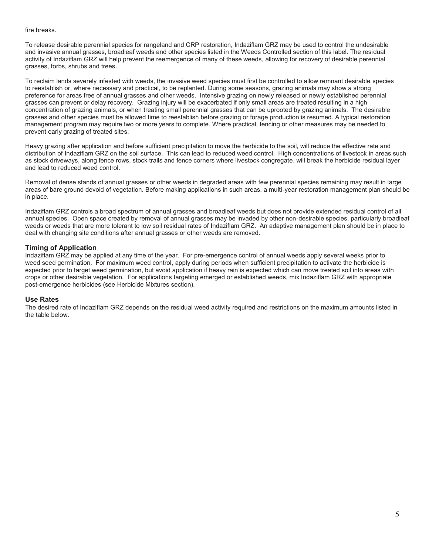#### fire breaks.

To release desirable perennial species for rangeland and CRP restoration, Indaziflam GRZ may be used to control the undesirable and invasive annual grasses, broadleaf weeds and other species listed in the Weeds Controlled section of this label. The residual activity of Indaziflam GRZ will help prevent the reemergence of many of these weeds, allowing for recovery of desirable perennial grasses, forbs, shrubs and trees.

To reclaim lands severely infested with weeds, the invasive weed species must first be controlled to allow remnant desirable species to reestablish or, where necessary and practical, to be replanted. During some seasons, grazing animals may show a strong preference for areas free of annual grasses and other weeds. Intensive grazing on newly released or newly established perennial grasses can prevent or delay recovery. Grazing injury will be exacerbated if only small areas are treated resulting in a high concentration of grazing animals, or when treating small perennial grasses that can be uprooted by grazing animals. The desirable grasses and other species must be allowed time to reestablish before grazing or forage production is resumed. A typical restoration management program may require two or more years to complete. Where practical, fencing or other measures may be needed to prevent early grazing of treated sites.

Heavy grazing after application and before sufficient precipitation to move the herbicide to the soil, will reduce the effective rate and distribution of Indaziflam GRZ on the soil surface. This can lead to reduced weed control. High concentrations of livestock in areas such as stock driveways, along fence rows, stock trails and fence corners where livestock congregate, will break the herbicide residual layer and lead to reduced weed control.

Removal of dense stands of annual grasses or other weeds in degraded areas with few perennial species remaining may result in large areas of bare ground devoid of vegetation. Before making applications in such areas, a multi-year restoration management plan should be in place.

Indaziflam GRZ controls a broad spectrum of annual grasses and broadleaf weeds but does not provide extended residual control of all annual species. Open space created by removal of annual grasses may be invaded by other non-desirable species, particularly broadleaf weeds or weeds that are more tolerant to low soil residual rates of Indaziflam GRZ. An adaptive management plan should be in place to deal with changing site conditions after annual grasses or other weeds are removed.

#### **Timing of Application**

Indaziflam GRZ may be applied at any time of the year. For pre-emergence control of annual weeds apply several weeks prior to weed seed germination. For maximum weed control, apply during periods when sufficient precipitation to activate the herbicide is expected prior to target weed germination, but avoid application if heavy rain is expected which can move treated soil into areas with crops or other desirable vegetation. For applications targeting emerged or established weeds, mix Indaziflam GRZ with appropriate post-emergence herbicides (see Herbicide Mixtures section).

#### **Use Rates**

The desired rate of Indaziflam GRZ depends on the residual weed activity required and restrictions on the maximum amounts listed in the table below.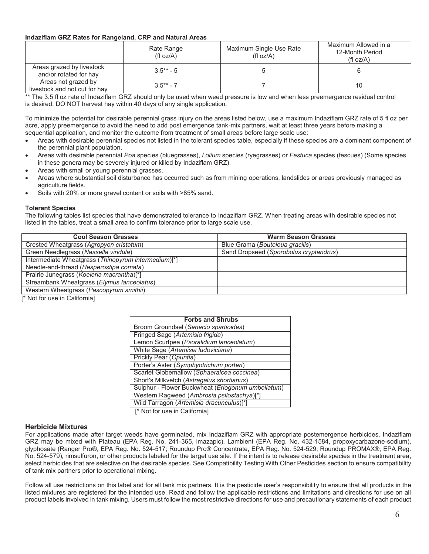#### **Indaziflam GRZ Rates for Rangeland, CRP and Natural Areas**

|                                                      | Rate Range<br>(f oz/A) | Maximum Single Use Rate<br>(fI oz/A) | Maximum Allowed in a<br>12-Month Period<br>(fl $oz/A$ ) |
|------------------------------------------------------|------------------------|--------------------------------------|---------------------------------------------------------|
| Areas grazed by livestock<br>and/or rotated for hay  | $3.5** - 5$            |                                      |                                                         |
| Areas not grazed by<br>livestock and not cut for hay | $3.5*** - 7$           |                                      |                                                         |

\*\* The 3.5 fl oz rate of Indaziflam GRZ should only be used when weed pressure is low and when less preemergence residual control is desired. DO NOT harvest hay within 40 days of any single application.

To minimize the potential for desirable perennial grass injury on the areas listed below, use a maximum Indaziflam GRZ rate of 5 fl oz per acre, apply preemergence to avoid the need to add post emergence tank-mix partners, wait at least three years before making a sequential application, and monitor the outcome from treatment of small areas before large scale use:

- Areas with desirable perennial species not listed in the tolerant species table, especially if these species are a dominant component of the perennial plant population.
- x Areas with desirable perennial *Poa* species (bluegrasses), *Lolium* species (ryegrasses) or *Festuca* species (fescues) (Some species in these genera may be severely injured or killed by Indaziflam GRZ).
- Areas with small or young perennial grasses.
- Areas where substantial soil disturbance has occurred such as from mining operations, landslides or areas previously managed as agriculture fields.
- Soils with 20% or more gravel content or soils with >85% sand.

#### **Tolerant Species**

The following tables list species that have demonstrated tolerance to Indaziflam GRZ. When treating areas with desirable species not listed in the tables, treat a small area to confirm tolerance prior to large scale use.

| <b>Cool Season Grasses</b>                          | <b>Warm Season Grasses</b>             |
|-----------------------------------------------------|----------------------------------------|
| Crested Wheatgrass (Agropyon cristatum)             | Blue Grama (Bouteloua gracilis)        |
| Green Needlegrass (Nassella viridula)               | Sand Dropseed (Sporobolus cryptandrus) |
| Intermediate Wheatgrass (Thinopyrum intermedium)[*] |                                        |
| Needle-and-thread (Hesperostipa comata)             |                                        |
| Prairie Junegrass (Koeleria macrantha)[*]           |                                        |
| Streambank Wheatgrass (Elymus lanceolatus)          |                                        |
| Western Wheatgrass (Pascopyrum smithii)             |                                        |
|                                                     |                                        |

[\* Not for use in California]

| <b>Forbs and Shrubs</b>                           |  |  |
|---------------------------------------------------|--|--|
| Broom Groundsel (Senecio spartioides)             |  |  |
| Fringed Sage (Artemisia frigida)                  |  |  |
| Lemon Scurfpea (Psoralidium lanceolatum)          |  |  |
| White Sage (Artemisia Iudoviciana)                |  |  |
| Prickly Pear (Opuntia)                            |  |  |
| Porter's Aster (Symphyotrichum porteri)           |  |  |
| Scarlet Globemallow (Sphaeralcea coccinea)        |  |  |
| Short's Milkvetch (Astragalus shortianus)         |  |  |
| Sulphur - Flower Buckwheat (Eriogonum umbellatum) |  |  |
| Western Ragweed (Ambrosia psilostachya)[*]        |  |  |
| Wild Tarragon (Artemisia dracunculus)[*]          |  |  |

[\* Not for use in California]

#### **Herbicide Mixtures**

For applications made after target weeds have germinated, mix Indaziflam GRZ with appropriate postemergence herbicides. Indaziflam GRZ may be mixed with Plateau (EPA Reg. No. 241-365, imazapic), Lambient (EPA Reg. No. 432-1584, propoxycarbazone-sodium), glyphosate (Ranger Pro®, EPA Reg. No. 524-517; Roundup Pro® Concentrate, EPA Reg. No. 524-529; Roundup PROMAX®; EPA Reg. No. 524-579), rimsulfuron, or other products labeled for the target use site. If the intent is to release desirable species in the treatment area, select herbicides that are selective on the desirable species. See Compatibility Testing With Other Pesticides section to ensure compatibility of tank mix partners prior to operational mixing.

Follow all use restrictions on this label and for all tank mix partners. It is the pesticide user's responsibility to ensure that all products in the listed mixtures are registered for the intended use. Read and follow the applicable restrictions and limitations and directions for use on all product labels involved in tank mixing. Users must follow the most restrictive directions for use and precautionary statements of each product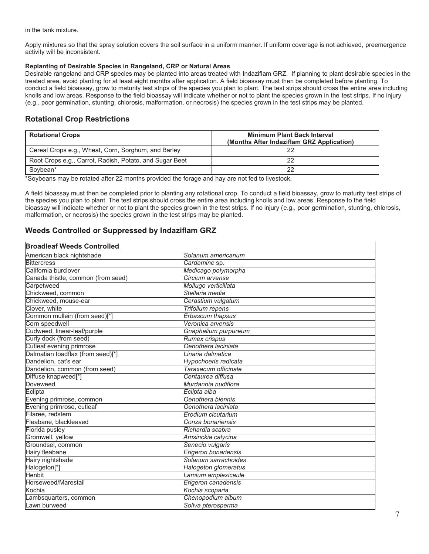in the tank mixture.

Apply mixtures so that the spray solution covers the soil surface in a uniform manner. If uniform coverage is not achieved, preemergence activity will be inconsistent.

#### **Replanting of Desirable Species in Rangeland, CRP or Natural Areas**

Desirable rangeland and CRP species may be planted into areas treated with Indaziflam GRZ. If planning to plant desirable species in the treated area, avoid planting for at least eight months after application. A field bioassay must then be completed before planting. To conduct a field bioassay, grow to maturity test strips of the species you plan to plant. The test strips should cross the entire area including knolls and low areas. Response to the field bioassay will indicate whether or not to plant the species grown in the test strips. If no injury (e.g., poor germination, stunting, chlorosis, malformation, or necrosis) the species grown in the test strips may be planted.

## **Rotational Crop Restrictions**

| <b>Rotational Crops</b>                                 | <b>Minimum Plant Back Interval</b><br>(Months After Indaziflam GRZ Application) |
|---------------------------------------------------------|---------------------------------------------------------------------------------|
| Cereal Crops e.g., Wheat, Corn, Sorghum, and Barley     |                                                                                 |
| Root Crops e.g., Carrot, Radish, Potato, and Sugar Beet | 22                                                                              |
| Sovbean*                                                | 22                                                                              |

\*Soybeans may be rotated after 22 months provided the forage and hay are not fed to livestock.

A field bioassay must then be completed prior to planting any rotational crop. To conduct a field bioassay, grow to maturity test strips of the species you plan to plant. The test strips should cross the entire area including knolls and low areas. Response to the field bioassay will indicate whether or not to plant the species grown in the test strips. If no injury (e.g., poor germination, stunting, chlorosis, malformation, or necrosis) the species grown in the test strips may be planted.

#### **Weeds Controlled or Suppressed by Indaziflam GRZ**

#### **Broadleaf Weeds Controlled**

| 21 0001001 <b>11</b> 00003 0011001100 |                         |
|---------------------------------------|-------------------------|
| American black nightshade             | Solanum americanum      |
| <b>Bittercress</b>                    | Cardamine sp.           |
| California burclover                  | Medicago polymorpha     |
| Canada thistle, common (from seed)    | Circium arvense         |
| Carpetweed                            | Mollugo verticillata    |
| Chickweed, common                     | Stellaria media         |
| Chickweed, mouse-ear                  | Cerastium vulgatum      |
| Clover, white                         | <b>Trifolium repens</b> |
| Common mullein (from seed)[*]         | <b>Erbascum</b> thapsus |
| Corn speedwell                        | Veronica arvensis       |
| Cudweed, linear-leaf/purple           | Gnaphalium purpureum    |
| Curly dock (from seed)                | Rumex crispus           |
| Cutleaf evening primrose              | Oenothera laciniata     |
| Dalmatian toadflax (from seed)[*]     | Linaria dalmatica       |
| Dandelion, cat's ear                  | Hypochoeris radicata    |
| Dandelion, common (from seed)         | Taraxacum officinale    |
| Diffuse knapweed[*]                   | Centaurea diffusa       |
| Doveweed                              | Murdannia nudiflora     |
| Eclipta                               | Eclipta alba            |
| Evening primrose, common              | Oenothera biennis       |
| Evening primrose, cutleaf             | Oenothera laciniata     |
| Filaree, redstem                      | Erodium cicutarium      |
| Fleabane, blackleaved                 | Conza bonariensis       |
| Florida pusley                        | Richardia scabra        |
| Gromwell, yellow                      | Amsinckia calycina      |
| Groundsel, common                     | Senecio vulgaris        |
| <b>Hairy fleabane</b>                 | Erigeron bonariensis    |
| Hairy nightshade                      | Solanum sarrachoides    |
| Halogeton <sup>[*]</sup>              | Halogeton glomeratus    |
| <b>Henbit</b>                         | Lamium amplexicaule     |
| Horseweed/Marestail                   | Erigeron canadensis     |
| Kochia                                | Kochia scoparia         |
| Lambsquarters, common                 | Chenopodium album       |
| Lawn burweed                          | Soliva pterosperma      |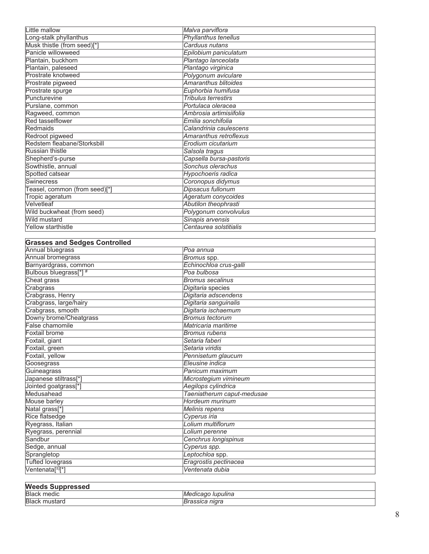| Little mallow                 | Malva parviflora            |
|-------------------------------|-----------------------------|
| Long-stalk phyllanthus        | <b>Phyllanthus tenellus</b> |
| Musk thistle (from seed)[*]   | Carduus nutans              |
| Panicle willowweed            | Epilobium paniculatum       |
| Plantain, buckhorn            | Plantago lanceolata         |
| Plantain, paleseed            | Plantago virginica          |
| Prostrate knotweed            | Polygonum aviculare         |
| Prostrate pigweed             | Amaranthus blitoides        |
| Prostrate spurge              | Euphorbia humifusa          |
| Puncturevine                  | <b>Tribulus terrestirs</b>  |
| Purslane, common              | Portulaca oleracea          |
| Ragweed, common               | Ambrosia artimisiifolia     |
| Red tasselflower              | Emilia sonchifolia          |
| Redmaids                      | Calandrinia caulescens      |
| Redroot pigweed               | Amaranthus retroflexus      |
| Redstem fleabane/Storksbill   | Erodium cicutarium          |
| <b>Russian thistle</b>        | Salsola tragus              |
| Shepherd's-purse              | Capsella bursa-pastoris     |
| Sowthistle, annual            | Sonchus olerachus           |
| Spotted catsear               | Hypochoeris radica          |
| Swinecress                    | Coronopus didymus           |
| Teasel, common (from seed)[*] | Dipsacus fullonum           |
| Tropic ageratum               | Ageratum conycoides         |
| Velvetleaf                    | Abutilon theophrasti        |
| Wild buckwheat (from seed)    | Polygonum convolvulus       |
| Wild mustard                  | Sinapis arvensis            |
| Yellow starthistle            | Centaurea solstitialis      |
|                               |                             |

| <b>Grasses and Sedges Controlled</b> |                            |
|--------------------------------------|----------------------------|
| <b>Annual bluegrass</b>              | lPoa annua                 |
| Annual bromegrass                    | Bromus spp.                |
| Barnyardgrass, common                | Echinochloa crus-galli     |
| Bulbous bluegrass[*] #               | Poa bulbosa                |
| Cheat grass                          | <b>Bromus secalinus</b>    |
| Crabgrass                            | Digitaria species          |
| Crabgrass, Henry                     | Digitaria adscendens       |
| Crabgrass, large/hairy               | Digitaria sanguinalis      |
| Crabgrass, smooth                    | Digitaria ischaemum        |
| Downy brome/Cheatgrass               | <b>Bromus tectorum</b>     |
| False chamomile                      | Matricaria maritime        |
| Foxtail brome                        | <b>Bromus rubens</b>       |
| Foxtail, giant                       | Setaria faberi             |
| Foxtail, green                       | Setaria viridis            |
| Foxtail, yellow                      | Pennisetum glaucum         |
| Goosegrass                           | Eleusine indica            |
| Guineagrass                          | Panicum maximum            |
| Japanese stiltrass[*]                | Microstegium vimineum      |
| Jointed goatgrass[*]                 | Aegilops cylindrica        |
| Medusahead                           | Taeniatherum caput-medusae |
| <b>Mouse barley</b>                  | Hordeum murinum            |
| Natal grass[*]                       | Melinis repens             |
| <b>Rice flatsedge</b>                | Cyperus iria               |
| Ryegrass, Italian                    | Lolium multiflorum         |
| Ryegrass, perennial                  | Lolium perenne             |
| Sandbur                              | Cenchrus longispinus       |
| Sedge, annual                        | Cyperus spp.               |
| Sprangletop                          | Leptochloa spp.            |
| <b>Tufted lovegrass</b>              | Eragrostis pectinacea      |
| Ventenata <sup>[±][*]</sup>          | Ventenata dubia            |

| <b>Weeds Suppressed</b> |                               |
|-------------------------|-------------------------------|
| <b>Black medic</b>      | lupulina l<br><i>Medicado</i> |
| <b>Black mustard</b>    | Brassica nigra                |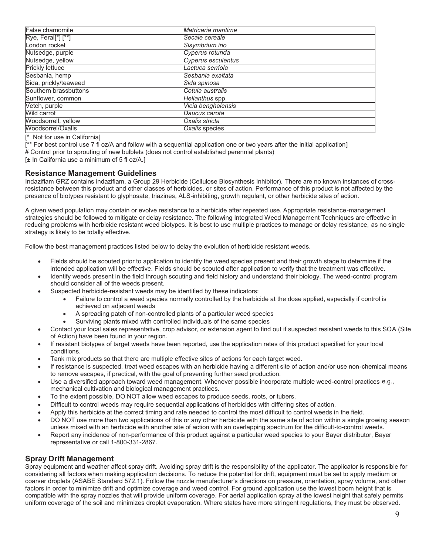| False chamomile        | Matricaria maritime |
|------------------------|---------------------|
| Rye, Feral[*] [**]     | Secale cereale      |
| London rocket          | Sisymbrium irio     |
| Nutsedge, purple       | Cyperus rotunda     |
| Nutsedge, yellow       | Cyperus esculentus  |
| <b>Prickly lettuce</b> | Lactuca serriola    |
| Sesbania, hemp         | Sesbania exaltata   |
| Sida, prickly/teaweed  | Sida spinosa        |
| Southern brassbuttons  | Cotula australis    |
| Sunflower, common      | Helianthus spp.     |
| Vetch, purple          | Vicia benghalensis  |
| Wild carrot            | Daucus carota       |
| Woodsorrell, yellow    | Oxalis stricta      |
| Woodsorrel/Oxalis      | Oxalis species      |

[\* Not for use in California]

[\*\* For best control use 7 fl oz/A and follow with a sequential application one or two years after the initial application] # Control prior to sprouting of new bulblets (does not control established perennial plants)

[± In California use a minimum of 5 fl oz/A.]

#### **Resistance Management Guidelines**

Indaziflam GRZ contains indaziflam, a Group 29 Herbicide (Cellulose Biosynthesis Inhibitor). There are no known instances of crossresistance between this product and other classes of herbicides, or sites of action. Performance of this product is not affected by the presence of biotypes resistant to glyphosate, triazines, ALS-inhibiting, growth regulant, or other herbicide sites of action.

A given weed population may contain or evolve resistance to a herbicide after repeated use. Appropriate resistance-management strategies should be followed to mitigate or delay resistance. The following Integrated Weed Management Techniques are effective in reducing problems with herbicide resistant weed biotypes. It is best to use multiple practices to manage or delay resistance, as no single strategy is likely to be totally effective.

Follow the best management practices listed below to delay the evolution of herbicide resistant weeds.

- Fields should be scouted prior to application to identify the weed species present and their growth stage to determine if the intended application will be effective. Fields should be scouted after application to verify that the treatment was effective.
- Identify weeds present in the field through scouting and field history and understand their biology. The weed-control program should consider all of the weeds present.
- Suspected herbicide-resistant weeds may be identified by these indicators:
	- Failure to control a weed species normally controlled by the herbicide at the dose applied, especially if control is achieved on adjacent weeds
	- A spreading patch of non-controlled plants of a particular weed species
	- Surviving plants mixed with controlled individuals of the same species
- x Contact your local sales representative, crop advisor, or extension agent to find out if suspected resistant weeds to this SOA (Site of Action) have been found in your region.
- If resistant biotypes of target weeds have been reported, use the application rates of this product specified for your local conditions.
- Tank mix products so that there are multiple effective sites of actions for each target weed.
- If resistance is suspected, treat weed escapes with an herbicide having a different site of action and/or use non-chemical means to remove escapes, if practical, with the goal of preventing further seed production.
- Use a diversified approach toward weed management. Whenever possible incorporate multiple weed-control practices e.g., mechanical cultivation and biological management practices.
- To the extent possible, DO NOT allow weed escapes to produce seeds, roots, or tubers.
- Difficult to control weeds may require sequential applications of herbicides with differing sites of action.
- Apply this herbicide at the correct timing and rate needed to control the most difficult to control weeds in the field.
- DO NOT use more than two applications of this or any other herbicide with the same site of action within a single growing season unless mixed with an herbicide with another site of action with an overlapping spectrum for the difficult-to-control weeds.
- Report any incidence of non-performance of this product against a particular weed species to your Bayer distributor, Bayer representative or call 1-800-331-2867.

#### **Spray Drift Management**

Spray equipment and weather affect spray drift. Avoiding spray drift is the responsibility of the applicator. The applicator is responsible for considering all factors when making application decisions. To reduce the potential for drift, equipment must be set to apply medium or coarser droplets (ASABE Standard 572.1). Follow the nozzle manufacturer's directions on pressure, orientation, spray volume, and other factors in order to minimize drift and optimize coverage and weed control. For ground application use the lowest boom height that is compatible with the spray nozzles that will provide uniform coverage. For aerial application spray at the lowest height that safely permits uniform coverage of the soil and minimizes droplet evaporation. Where states have more stringent regulations, they must be observed.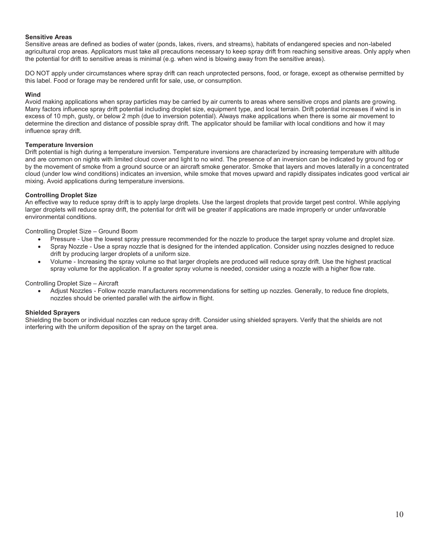#### **Sensitive Areas**

Sensitive areas are defined as bodies of water (ponds, lakes, rivers, and streams), habitats of endangered species and non-labeled agricultural crop areas. Applicators must take all precautions necessary to keep spray drift from reaching sensitive areas. Only apply when the potential for drift to sensitive areas is minimal (e.g. when wind is blowing away from the sensitive areas).

DO NOT apply under circumstances where spray drift can reach unprotected persons, food, or forage, except as otherwise permitted by this label. Food or forage may be rendered unfit for sale, use, or consumption.

#### **Wind**

Avoid making applications when spray particles may be carried by air currents to areas where sensitive crops and plants are growing. Many factors influence spray drift potential including droplet size, equipment type, and local terrain. Drift potential increases if wind is in excess of 10 mph, gusty, or below 2 mph (due to inversion potential). Always make applications when there is some air movement to determine the direction and distance of possible spray drift. The applicator should be familiar with local conditions and how it may influence spray drift.

#### **Temperature Inversion**

Drift potential is high during a temperature inversion. Temperature inversions are characterized by increasing temperature with altitude and are common on nights with limited cloud cover and light to no wind. The presence of an inversion can be indicated by ground fog or by the movement of smoke from a ground source or an aircraft smoke generator. Smoke that layers and moves laterally in a concentrated cloud (under low wind conditions) indicates an inversion, while smoke that moves upward and rapidly dissipates indicates good vertical air mixing. Avoid applications during temperature inversions.

#### **Controlling Droplet Size**

An effective way to reduce spray drift is to apply large droplets. Use the largest droplets that provide target pest control. While applying larger droplets will reduce spray drift, the potential for drift will be greater if applications are made improperly or under unfavorable environmental conditions.

Controlling Droplet Size – Ground Boom

- Pressure Use the lowest spray pressure recommended for the nozzle to produce the target spray volume and droplet size.
- Spray Nozzle Use a spray nozzle that is designed for the intended application. Consider using nozzles designed to reduce drift by producing larger droplets of a uniform size.
- x Volume Increasing the spray volume so that larger droplets are produced will reduce spray drift. Use the highest practical spray volume for the application. If a greater spray volume is needed, consider using a nozzle with a higher flow rate.

Controlling Droplet Size – Aircraft

Adjust Nozzles - Follow nozzle manufacturers recommendations for setting up nozzles. Generally, to reduce fine droplets, nozzles should be oriented parallel with the airflow in flight.

#### **Shielded Sprayers**

Shielding the boom or individual nozzles can reduce spray drift. Consider using shielded sprayers. Verify that the shields are not interfering with the uniform deposition of the spray on the target area.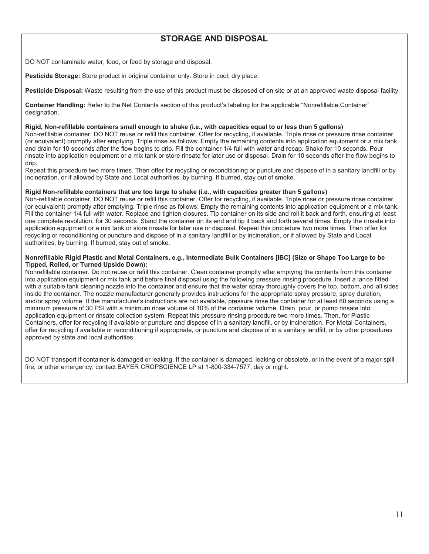## **STORAGE AND DISPOSAL**

DO NOT contaminate water, food, or feed by storage and disposal.

**Pesticide Storage:** Store product in original container only. Store in cool, dry place.

**Pesticide Disposal:** Waste resulting from the use of this product must be disposed of on site or at an approved waste disposal facility.

**Container Handling:** Refer to the Net Contents section of this product's labeling for the applicable "Nonrefillable Container" designation.

#### **Rigid, Non-refillable containers small enough to shake (i.e., with capacities equal to or less than 5 gallons)**

Non-refillable container. DO NOT reuse or refill this container. Offer for recycling, if available. Triple rinse or pressure rinse container (or equivalent) promptly after emptying. Triple rinse as follows: Empty the remaining contents into application equipment or a mix tank and drain for 10 seconds after the flow begins to drip. Fill the container 1/4 full with water and recap. Shake for 10 seconds. Pour rinsate into application equipment or a mix tank or store rinsate for later use or disposal. Drain for 10 seconds after the flow begins to drip.

Repeat this procedure two more times. Then offer for recycling or reconditioning or puncture and dispose of in a sanitary landfill or by incineration, or if allowed by State and Local authorities, by burning. If burned, stay out of smoke.

#### **Rigid Non-refillable containers that are too large to shake (i.e., with capacities greater than 5 gallons)**

Non-refillable container. DO NOT reuse or refill this container. Offer for recycling, if available. Triple rinse or pressure rinse container (or equivalent) promptly after emptying. Triple rinse as follows: Empty the remaining contents into application equipment or a mix tank. Fill the container 1/4 full with water. Replace and tighten closures. Tip container on its side and roll it back and forth, ensuring at least one complete revolution, for 30 seconds. Stand the container on its end and tip it back and forth several times. Empty the rinsate into application equipment or a mix tank or store rinsate for later use or disposal. Repeat this procedure two more times. Then offer for recycling or reconditioning or puncture and dispose of in a sanitary landfill or by incineration, or if allowed by State and Local authorities, by burning. If burned, stay out of smoke.

#### **Nonrefillable Rigid Plastic and Metal Containers, e.g., Intermediate Bulk Containers [IBC] (Size or Shape Too Large to be Tipped, Rolled, or Turned Upside Down):**

Nonrefillable container. Do not reuse or refill this container. Clean container promptly after emptying the contents from this container into application equipment or mix tank and before final disposal using the following pressure rinsing procedure. Insert a lance fitted with a suitable tank cleaning nozzle into the container and ensure that the water spray thoroughly covers the top, bottom, and all sides inside the container. The nozzle manufacturer generally provides instructions for the appropriate spray pressure, spray duration, and/or spray volume. If the manufacturer's instructions are not available, pressure rinse the container for at least 60 seconds using a minimum pressure of 30 PSI with a minimum rinse volume of 10% of the container volume. Drain, pour, or pump rinsate into application equipment or rinsate collection system. Repeat this pressure rinsing procedure two more times. Then, for Plastic Containers, offer for recycling if available or puncture and dispose of in a sanitary landfill, or by incineration. For Metal Containers, offer for recycling if available or reconditioning if appropriate, or puncture and dispose of in a sanitary landfill, or by other procedures approved by state and local authorities.

DO NOT transport if container is damaged or leaking. If the container is damaged, leaking or obsolete, or in the event of a major spill fire, or other emergency, contact BAYER CROPSCIENCE LP at 1-800-334-7577, day or night.